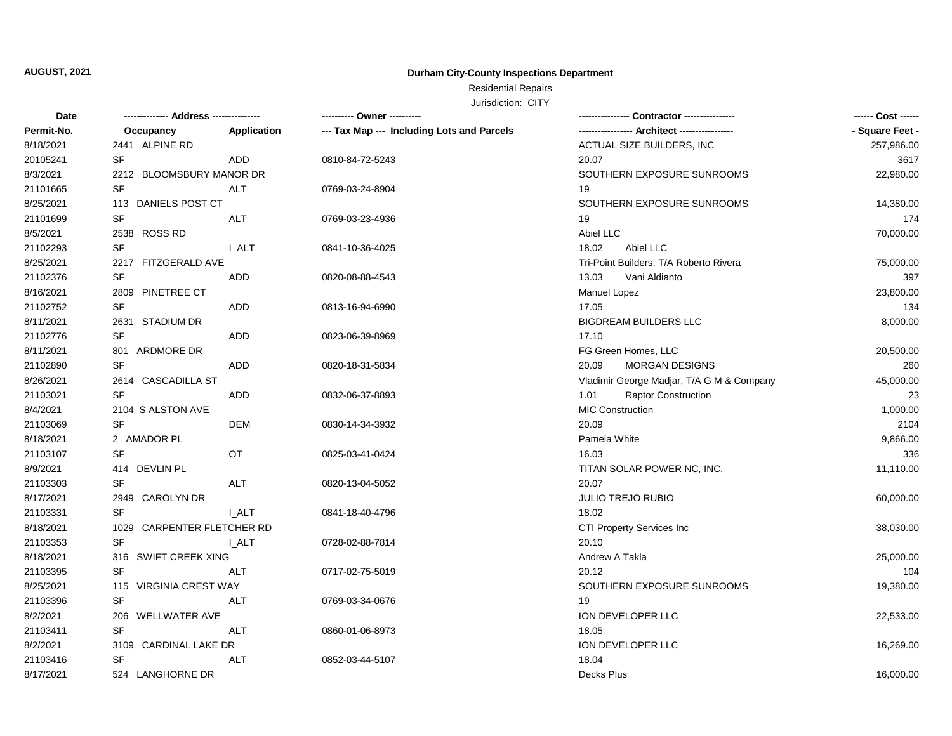## **Durham City-County Inspections Department**

# Residential Repairs

| Date       | -------------- Address --------------- |              | ---------- Owner ----------                |                                               | ------ Cost ------ |
|------------|----------------------------------------|--------------|--------------------------------------------|-----------------------------------------------|--------------------|
| Permit-No. | Occupancy                              | Application  | --- Tax Map --- Including Lots and Parcels | ----------------- Architect ----------------- | - Square Feet -    |
| 8/18/2021  | 2441 ALPINE RD                         |              |                                            | ACTUAL SIZE BUILDERS, INC                     | 257,986.00         |
| 20105241   | <b>SF</b>                              | <b>ADD</b>   | 0810-84-72-5243                            | 20.07                                         | 3617               |
| 8/3/2021   | 2212 BLOOMSBURY MANOR DR               |              |                                            | SOUTHERN EXPOSURE SUNROOMS                    | 22,980.00          |
| 21101665   | SF                                     | <b>ALT</b>   | 0769-03-24-8904                            | 19                                            |                    |
| 8/25/2021  | 113 DANIELS POST CT                    |              |                                            | SOUTHERN EXPOSURE SUNROOMS                    | 14,380.00          |
| 21101699   | SF                                     | ALT          | 0769-03-23-4936                            | 19                                            | 174                |
| 8/5/2021   | 2538 ROSS RD                           |              |                                            | Abiel LLC                                     | 70,000.00          |
| 21102293   | SF                                     | I ALT        | 0841-10-36-4025                            | 18.02<br>Abiel LLC                            |                    |
| 8/25/2021  | 2217 FITZGERALD AVE                    |              |                                            | Tri-Point Builders, T/A Roberto Rivera        | 75,000.00          |
| 21102376   | <b>SF</b>                              | <b>ADD</b>   | 0820-08-88-4543                            | 13.03<br>Vani Aldianto                        | 397                |
| 8/16/2021  | 2809 PINETREE CT                       |              |                                            | Manuel Lopez                                  | 23,800.00          |
| 21102752   | <b>SF</b>                              | <b>ADD</b>   | 0813-16-94-6990                            | 17.05                                         | 134                |
| 8/11/2021  | 2631 STADIUM DR                        |              |                                            | <b>BIGDREAM BUILDERS LLC</b>                  | 8,000.00           |
| 21102776   | <b>SF</b>                              | ADD.         | 0823-06-39-8969                            | 17.10                                         |                    |
| 8/11/2021  | 801 ARDMORE DR                         |              |                                            | FG Green Homes, LLC                           | 20,500.00          |
| 21102890   | <b>SF</b>                              | ADD          | 0820-18-31-5834                            | 20.09<br>MORGAN DESIGNS                       | 260                |
| 8/26/2021  | 2614 CASCADILLA ST                     |              |                                            | Vladimir George Madjar, T/A G M & Company     | 45,000.00          |
| 21103021   | <b>SF</b>                              | <b>ADD</b>   | 0832-06-37-8893                            | <b>Raptor Construction</b><br>1.01            | 23                 |
| 8/4/2021   | 2104 S ALSTON AVE                      |              |                                            | <b>MIC Construction</b>                       | 1,000.00           |
| 21103069   | <b>SF</b>                              | <b>DEM</b>   | 0830-14-34-3932                            | 20.09                                         | 2104               |
| 8/18/2021  | 2 AMADOR PL                            |              |                                            | Pamela White                                  | 9,866.00           |
| 21103107   | <b>SF</b>                              | OT.          | 0825-03-41-0424                            | 16.03                                         | 336                |
| 8/9/2021   | 414 DEVLIN PL                          |              |                                            | TITAN SOLAR POWER NC, INC.                    | 11,110.00          |
| 21103303   | <b>SF</b>                              | ALT          | 0820-13-04-5052                            | 20.07                                         |                    |
| 8/17/2021  | 2949 CAROLYN DR                        |              |                                            | JULIO TREJO RUBIO                             | 60,000.00          |
| 21103331   | SF                                     | <b>I_ALT</b> | 0841-18-40-4796                            | 18.02                                         |                    |
| 8/18/2021  | 1029 CARPENTER FLETCHER RD             |              |                                            | CTI Property Services Inc                     | 38,030.00          |
| 21103353   | <b>SF</b>                              | <b>I_ALT</b> | 0728-02-88-7814                            | 20.10                                         |                    |
| 8/18/2021  | 316 SWIFT CREEK XING                   |              |                                            | Andrew A Takla                                | 25,000.00          |
| 21103395   | <b>SF</b>                              | <b>ALT</b>   | 0717-02-75-5019                            | 20.12                                         | 104                |
| 8/25/2021  | 115 VIRGINIA CREST WAY                 |              |                                            | SOUTHERN EXPOSURE SUNROOMS                    | 19,380.00          |
| 21103396   | SF                                     | ALT          | 0769-03-34-0676                            | 19                                            |                    |
| 8/2/2021   | 206 WELLWATER AVE                      |              |                                            | ION DEVELOPER LLC                             | 22,533.00          |
| 21103411   | <b>SF</b>                              | ALT          | 0860-01-06-8973                            | 18.05                                         |                    |
| 8/2/2021   | 3109 CARDINAL LAKE DR                  |              |                                            | ION DEVELOPER LLC                             | 16,269.00          |
| 21103416   | SF                                     | ALT          | 0852-03-44-5107                            | 18.04                                         |                    |
| 8/17/2021  | 524 LANGHORNE DR                       |              |                                            | Decks Plus                                    | 16,000.00          |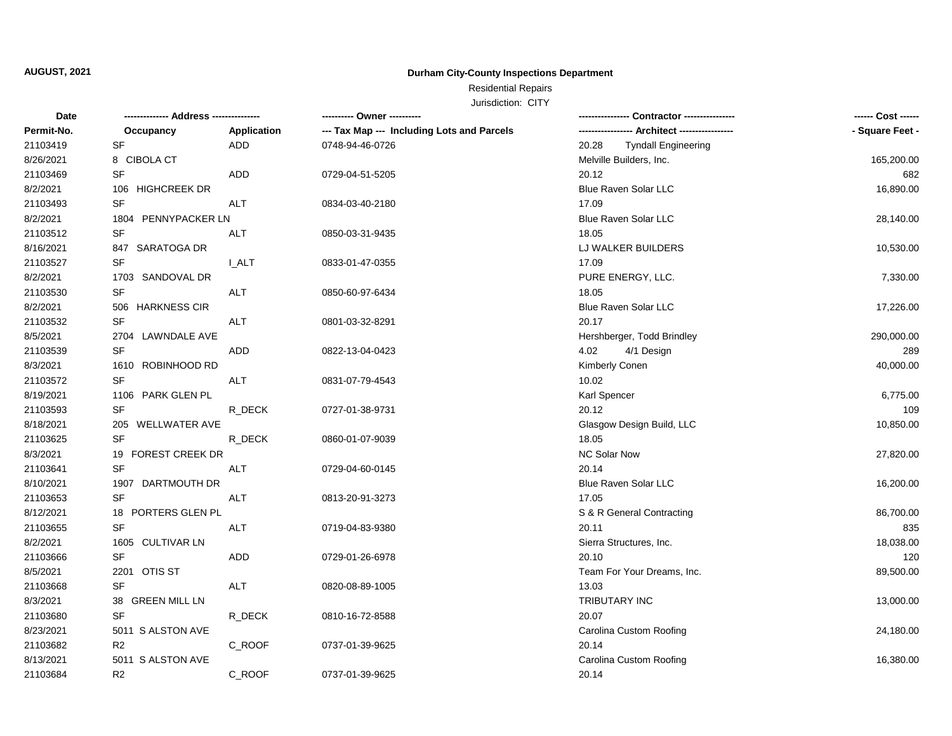## **Durham City-County Inspections Department**

# Residential Repairs

| Date       | -------------- Address --------------- |             | ---------- Owner ----------                |                                     | ------ Cost ------ |
|------------|----------------------------------------|-------------|--------------------------------------------|-------------------------------------|--------------------|
| Permit-No. | Occupancy                              | Application | --- Tax Map --- Including Lots and Parcels |                                     | - Square Feet -    |
| 21103419   | <b>SF</b>                              | <b>ADD</b>  | 0748-94-46-0726                            | 20.28<br><b>Tyndall Engineering</b> |                    |
| 8/26/2021  | 8 CIBOLA CT                            |             |                                            | Melville Builders, Inc.             | 165,200.00         |
| 21103469   | <b>SF</b>                              | <b>ADD</b>  | 0729-04-51-5205                            | 20.12                               | 682                |
| 8/2/2021   | 106 HIGHCREEK DR                       |             |                                            | <b>Blue Raven Solar LLC</b>         | 16,890.00          |
| 21103493   | <b>SF</b>                              | ALT         | 0834-03-40-2180                            | 17.09                               |                    |
| 8/2/2021   | 1804 PENNYPACKER LN                    |             |                                            | Blue Raven Solar LLC                | 28,140.00          |
| 21103512   | SF                                     | <b>ALT</b>  | 0850-03-31-9435                            | 18.05                               |                    |
| 8/16/2021  | 847 SARATOGA DR                        |             |                                            | LJ WALKER BUILDERS                  | 10,530.00          |
| 21103527   | <b>SF</b>                              | I ALT       | 0833-01-47-0355                            | 17.09                               |                    |
| 8/2/2021   | 1703 SANDOVAL DR                       |             |                                            | PURE ENERGY, LLC.                   | 7,330.00           |
| 21103530   | <b>SF</b>                              | ALT         | 0850-60-97-6434                            | 18.05                               |                    |
| 8/2/2021   | 506 HARKNESS CIR                       |             |                                            | <b>Blue Raven Solar LLC</b>         | 17,226.00          |
| 21103532   | <b>SF</b>                              | <b>ALT</b>  | 0801-03-32-8291                            | 20.17                               |                    |
| 8/5/2021   | 2704 LAWNDALE AVE                      |             |                                            | Hershberger, Todd Brindley          | 290,000.00         |
| 21103539   | <b>SF</b>                              | ADD         | 0822-13-04-0423                            | 4.02<br>4/1 Design                  | 289                |
| 8/3/2021   | 1610 ROBINHOOD RD                      |             |                                            | Kimberly Conen                      | 40,000.00          |
| 21103572   | <b>SF</b>                              | <b>ALT</b>  | 0831-07-79-4543                            | 10.02                               |                    |
| 8/19/2021  | 1106 PARK GLEN PL                      |             |                                            | Karl Spencer                        | 6,775.00           |
| 21103593   | <b>SF</b>                              | R_DECK      | 0727-01-38-9731                            | 20.12                               | 109                |
| 8/18/2021  | 205 WELLWATER AVE                      |             |                                            | Glasgow Design Build, LLC           | 10,850.00          |
| 21103625   | <b>SF</b>                              | R_DECK      | 0860-01-07-9039                            | 18.05                               |                    |
| 8/3/2021   | 19 FOREST CREEK DR                     |             |                                            | <b>NC Solar Now</b>                 | 27,820.00          |
| 21103641   | <b>SF</b>                              | <b>ALT</b>  | 0729-04-60-0145                            | 20.14                               |                    |
| 8/10/2021  | 1907 DARTMOUTH DR                      |             |                                            | <b>Blue Raven Solar LLC</b>         | 16,200.00          |
| 21103653   | <b>SF</b>                              | <b>ALT</b>  | 0813-20-91-3273                            | 17.05                               |                    |
| 8/12/2021  | 18 PORTERS GLEN PL                     |             |                                            | S & R General Contracting           | 86,700.00          |
| 21103655   | <b>SF</b>                              | <b>ALT</b>  | 0719-04-83-9380                            | 20.11                               | 835                |
| 8/2/2021   | 1605 CULTIVAR LN                       |             |                                            | Sierra Structures, Inc.             | 18,038.00          |
| 21103666   | <b>SF</b>                              | <b>ADD</b>  | 0729-01-26-6978                            | 20.10                               | 120                |
| 8/5/2021   | 2201<br>OTIS ST                        |             |                                            | Team For Your Dreams, Inc.          | 89,500.00          |
| 21103668   | <b>SF</b>                              | ALT         | 0820-08-89-1005                            | 13.03                               |                    |
| 8/3/2021   | 38 GREEN MILL LN                       |             |                                            | TRIBUTARY INC                       | 13,000.00          |
| 21103680   | <b>SF</b>                              | R_DECK      | 0810-16-72-8588                            | 20.07                               |                    |
| 8/23/2021  | 5011 S ALSTON AVE                      |             |                                            | Carolina Custom Roofing             | 24,180.00          |
| 21103682   | R <sub>2</sub>                         | C_ROOF      | 0737-01-39-9625                            | 20.14                               |                    |
| 8/13/2021  | 5011 S ALSTON AVE                      |             |                                            | Carolina Custom Roofing             | 16,380.00          |
| 21103684   | R <sub>2</sub>                         | C ROOF      | 0737-01-39-9625                            | 20.14                               |                    |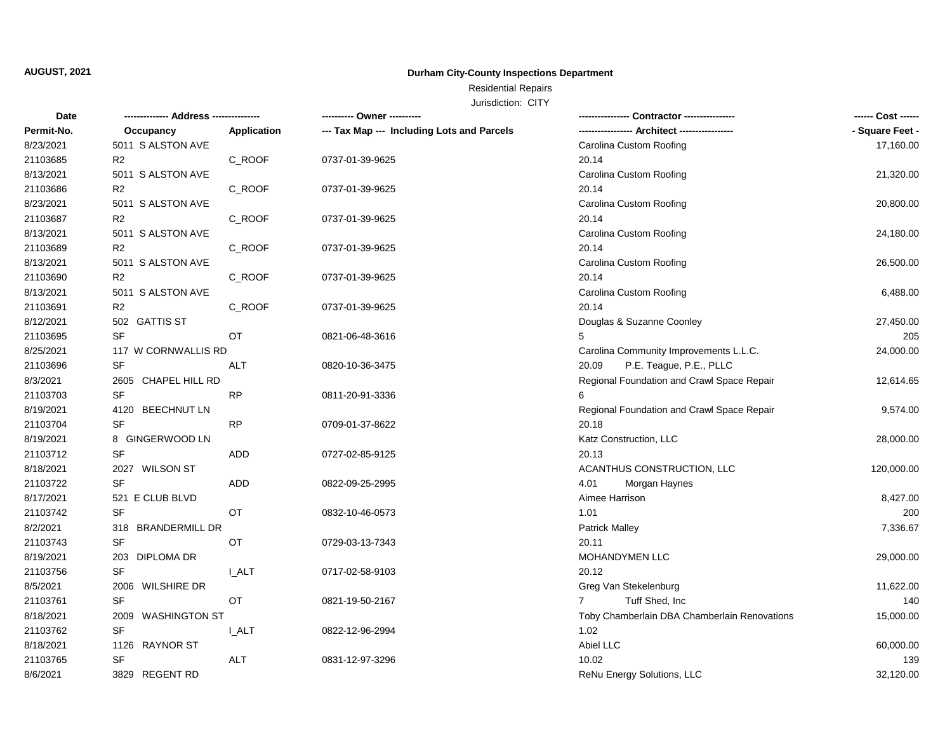## **Durham City-County Inspections Department**

# Residential Repairs

| Date       |                     |              | ---------- Owner ----------                |                                              | ------ Cost ------ |
|------------|---------------------|--------------|--------------------------------------------|----------------------------------------------|--------------------|
| Permit-No. | Occupancy           | Application  | --- Tax Map --- Including Lots and Parcels |                                              | - Square Feet -    |
| 8/23/2021  | 5011 S ALSTON AVE   |              |                                            | Carolina Custom Roofing                      | 17,160.00          |
| 21103685   | R <sub>2</sub>      | C_ROOF       | 0737-01-39-9625                            | 20.14                                        |                    |
| 8/13/2021  | 5011 S ALSTON AVE   |              |                                            | Carolina Custom Roofing                      | 21,320.00          |
| 21103686   | R <sub>2</sub>      | C_ROOF       | 0737-01-39-9625                            | 20.14                                        |                    |
| 8/23/2021  | 5011 S ALSTON AVE   |              |                                            | Carolina Custom Roofing                      | 20,800.00          |
| 21103687   | R <sub>2</sub>      | C_ROOF       | 0737-01-39-9625                            | 20.14                                        |                    |
| 8/13/2021  | 5011 S ALSTON AVE   |              |                                            | Carolina Custom Roofing                      | 24,180.00          |
| 21103689   | R <sub>2</sub>      | C_ROOF       | 0737-01-39-9625                            | 20.14                                        |                    |
| 8/13/2021  | 5011 S ALSTON AVE   |              |                                            | Carolina Custom Roofing                      | 26,500.00          |
| 21103690   | R <sub>2</sub>      | C_ROOF       | 0737-01-39-9625                            | 20.14                                        |                    |
| 8/13/2021  | 5011 S ALSTON AVE   |              |                                            | Carolina Custom Roofing                      | 6,488.00           |
| 21103691   | R <sub>2</sub>      | C_ROOF       | 0737-01-39-9625                            | 20.14                                        |                    |
| 8/12/2021  | 502 GATTIS ST       |              |                                            | Douglas & Suzanne Coonley                    | 27,450.00          |
| 21103695   | <b>SF</b>           | OT.          | 0821-06-48-3616                            |                                              | 205                |
| 8/25/2021  | 117 W CORNWALLIS RD |              |                                            | Carolina Community Improvements L.L.C.       | 24,000.00          |
| 21103696   | <b>SF</b>           | ALT          | 0820-10-36-3475                            | P.E. Teague, P.E., PLLC<br>20.09             |                    |
| 8/3/2021   | 2605 CHAPEL HILL RD |              |                                            | Regional Foundation and Crawl Space Repair   | 12,614.65          |
| 21103703   | <b>SF</b>           | <b>RP</b>    | 0811-20-91-3336                            |                                              |                    |
| 8/19/2021  | 4120 BEECHNUT LN    |              |                                            | Regional Foundation and Crawl Space Repair   | 9,574.00           |
| 21103704   | <b>SF</b>           | <b>RP</b>    | 0709-01-37-8622                            | 20.18                                        |                    |
| 8/19/2021  | 8 GINGERWOOD LN     |              |                                            | Katz Construction, LLC                       | 28,000.00          |
| 21103712   | <b>SF</b>           | <b>ADD</b>   | 0727-02-85-9125                            | 20.13                                        |                    |
| 8/18/2021  | 2027 WILSON ST      |              |                                            | ACANTHUS CONSTRUCTION, LLC                   | 120,000.00         |
| 21103722   | <b>SF</b>           | ADD          | 0822-09-25-2995                            | 4.01<br>Morgan Haynes                        |                    |
| 8/17/2021  | 521 E CLUB BLVD     |              |                                            | Aimee Harrison                               | 8,427.00           |
| 21103742   | <b>SF</b>           | OT           | 0832-10-46-0573                            | 1.01                                         | 200                |
| 8/2/2021   | 318 BRANDERMILL DR  |              |                                            | <b>Patrick Malley</b>                        | 7,336.67           |
| 21103743   | <b>SF</b>           | OT           | 0729-03-13-7343                            | 20.11                                        |                    |
| 8/19/2021  | 203 DIPLOMA DR      |              |                                            | MOHANDYMEN LLC                               | 29,000.00          |
| 21103756   | <b>SF</b>           | <b>I_ALT</b> | 0717-02-58-9103                            | 20.12                                        |                    |
| 8/5/2021   | 2006 WILSHIRE DR    |              |                                            | Greg Van Stekelenburg                        | 11,622.00          |
| 21103761   | <b>SF</b>           | OT           | 0821-19-50-2167                            | Tuff Shed, Inc<br>7                          | 140                |
| 8/18/2021  | 2009 WASHINGTON ST  |              |                                            | Toby Chamberlain DBA Chamberlain Renovations | 15,000.00          |
| 21103762   | <b>SF</b>           | <b>I_ALT</b> | 0822-12-96-2994                            | 1.02                                         |                    |
| 8/18/2021  | 1126 RAYNOR ST      |              |                                            | Abiel LLC                                    | 60,000.00          |
| 21103765   | SF                  | <b>ALT</b>   | 0831-12-97-3296                            | 10.02                                        | 139                |
| 8/6/2021   | 3829 REGENT RD      |              |                                            | ReNu Energy Solutions, LLC                   | 32,120.00          |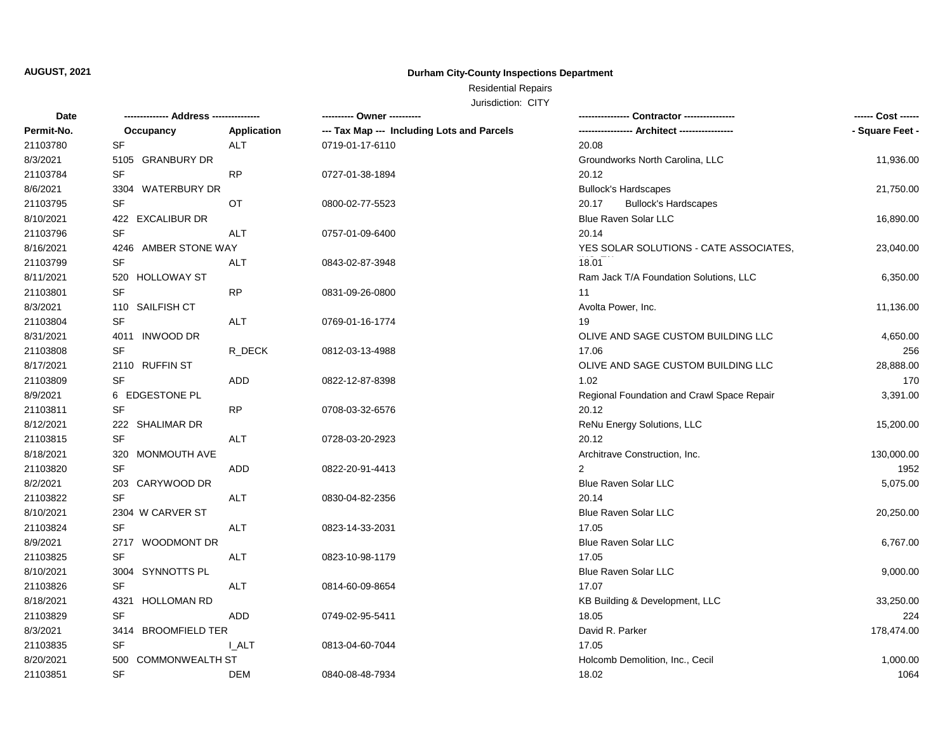## **Durham City-County Inspections Department**

# Residential Repairs

| <b>Date</b> |                               |              | ---------- Owner ----------                |                                            | ------ Cost ------ |
|-------------|-------------------------------|--------------|--------------------------------------------|--------------------------------------------|--------------------|
| Permit-No.  | Occupancy                     | Application  | --- Tax Map --- Including Lots and Parcels |                                            | - Square Feet -    |
| 21103780    | SF                            | ALT          | 0719-01-17-6110                            | 20.08                                      |                    |
| 8/3/2021    | 5105 GRANBURY DR              |              |                                            | Groundworks North Carolina, LLC            | 11,936.00          |
| 21103784    | <b>SF</b>                     | <b>RP</b>    | 0727-01-38-1894                            | 20.12                                      |                    |
| 8/6/2021    | 3304 WATERBURY DR             |              |                                            | <b>Bullock's Hardscapes</b>                | 21,750.00          |
| 21103795    | SF                            | OT           | 0800-02-77-5523                            | 20.17<br><b>Bullock's Hardscapes</b>       |                    |
| 8/10/2021   | <b>EXCALIBUR DR</b><br>422    |              |                                            | Blue Raven Solar LLC                       | 16,890.00          |
| 21103796    | <b>SF</b>                     | <b>ALT</b>   | 0757-01-09-6400                            | 20.14                                      |                    |
| 8/16/2021   | 4246 AMBER STONE WAY          |              |                                            | YES SOLAR SOLUTIONS - CATE ASSOCIATES,     | 23,040.00          |
| 21103799    | SF                            | ALT          | 0843-02-87-3948                            | 18.01                                      |                    |
| 8/11/2021   | 520<br><b>HOLLOWAY ST</b>     |              |                                            | Ram Jack T/A Foundation Solutions, LLC     | 6,350.00           |
| 21103801    | <b>SF</b>                     | RP           | 0831-09-26-0800                            | 11                                         |                    |
| 8/3/2021    | 110 SAILFISH CT               |              |                                            | Avolta Power, Inc.                         | 11,136.00          |
| 21103804    | <b>SF</b>                     | <b>ALT</b>   | 0769-01-16-1774                            | 19                                         |                    |
| 8/31/2021   | 4011 INWOOD DR                |              |                                            | OLIVE AND SAGE CUSTOM BUILDING LLC         | 4,650.00           |
| 21103808    | SF                            | R_DECK       | 0812-03-13-4988                            | 17.06                                      | 256                |
| 8/17/2021   | 2110 RUFFIN ST                |              |                                            | OLIVE AND SAGE CUSTOM BUILDING LLC         | 28,888.00          |
| 21103809    | <b>SF</b>                     | ADD          | 0822-12-87-8398                            | 1.02                                       | 170                |
| 8/9/2021    | 6 EDGESTONE PL                |              |                                            | Regional Foundation and Crawl Space Repair | 3,391.00           |
| 21103811    | <b>SF</b>                     | <b>RP</b>    | 0708-03-32-6576                            | 20.12                                      |                    |
| 8/12/2021   | 222 SHALIMAR DR               |              |                                            | ReNu Energy Solutions, LLC                 | 15,200.00          |
| 21103815    | SF                            | ALT          | 0728-03-20-2923                            | 20.12                                      |                    |
| 8/18/2021   | 320 MONMOUTH AVE              |              |                                            | Architrave Construction, Inc.              | 130,000.00         |
| 21103820    | SF                            | ADD          | 0822-20-91-4413                            |                                            | 1952               |
| 8/2/2021    | 203 CARYWOOD DR               |              |                                            | Blue Raven Solar LLC                       | 5,075.00           |
| 21103822    | SF                            | <b>ALT</b>   | 0830-04-82-2356                            | 20.14                                      |                    |
| 8/10/2021   | 2304 W CARVER ST              |              |                                            | Blue Raven Solar LLC                       | 20,250.00          |
| 21103824    | SF                            | <b>ALT</b>   | 0823-14-33-2031                            | 17.05                                      |                    |
| 8/9/2021    | 2717 WOODMONT DR              |              |                                            | Blue Raven Solar LLC                       | 6,767.00           |
| 21103825    | SF                            | ALT          | 0823-10-98-1179                            | 17.05                                      |                    |
| 8/10/2021   | 3004 SYNNOTTS PL              |              |                                            | Blue Raven Solar LLC                       | 9,000.00           |
| 21103826    | <b>SF</b>                     | ALT          | 0814-60-09-8654                            | 17.07                                      |                    |
| 8/18/2021   | 4321<br><b>HOLLOMAN RD</b>    |              |                                            | KB Building & Development, LLC             | 33,250.00          |
| 21103829    | SF                            | ADD          | 0749-02-95-5411                            | 18.05                                      | 224                |
| 8/3/2021    | 3414 BROOMFIELD TER           |              |                                            | David R. Parker                            | 178,474.00         |
| 21103835    | SF                            | <b>L_ALT</b> | 0813-04-60-7044                            | 17.05                                      |                    |
| 8/20/2021   | 500<br><b>COMMONWEALTH ST</b> |              |                                            | Holcomb Demolition, Inc., Cecil            | 1,000.00           |
| 21103851    | <b>SF</b>                     | <b>DEM</b>   | 0840-08-48-7934                            | 18.02                                      | 1064               |
|             |                               |              |                                            |                                            |                    |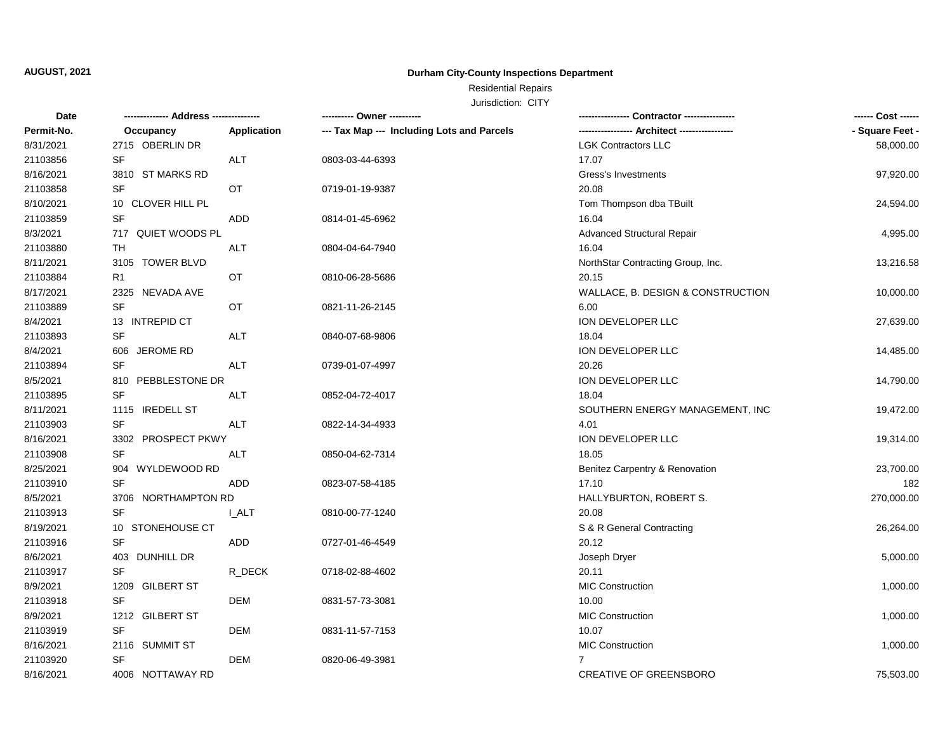## **Durham City-County Inspections Department**

# Residential Repairs

| Date       |                     |              | ---------- Owner ----------                |                                   | ------ Cost ------ |
|------------|---------------------|--------------|--------------------------------------------|-----------------------------------|--------------------|
| Permit-No. | Occupancy           | Application  | --- Tax Map --- Including Lots and Parcels |                                   | - Square Feet -    |
| 8/31/2021  | 2715 OBERLIN DR     |              |                                            | <b>LGK Contractors LLC</b>        | 58,000.00          |
| 21103856   | <b>SF</b>           | <b>ALT</b>   | 0803-03-44-6393                            | 17.07                             |                    |
| 8/16/2021  | 3810 ST MARKS RD    |              |                                            | Gress's Investments               | 97,920.00          |
| 21103858   | <b>SF</b>           | <b>OT</b>    | 0719-01-19-9387                            | 20.08                             |                    |
| 8/10/2021  | 10 CLOVER HILL PL   |              |                                            | Tom Thompson dba TBuilt           | 24,594.00          |
| 21103859   | <b>SF</b>           | <b>ADD</b>   | 0814-01-45-6962                            | 16.04                             |                    |
| 8/3/2021   | 717 QUIET WOODS PL  |              |                                            | <b>Advanced Structural Repair</b> | 4,995.00           |
| 21103880   | TH                  | ALT          | 0804-04-64-7940                            | 16.04                             |                    |
| 8/11/2021  | 3105 TOWER BLVD     |              |                                            | NorthStar Contracting Group, Inc. | 13,216.58          |
| 21103884   | R <sub>1</sub>      | OT           | 0810-06-28-5686                            | 20.15                             |                    |
| 8/17/2021  | 2325 NEVADA AVE     |              |                                            | WALLACE, B. DESIGN & CONSTRUCTION | 10,000.00          |
| 21103889   | SF                  | OT           | 0821-11-26-2145                            | 6.00                              |                    |
| 8/4/2021   | 13 INTREPID CT      |              |                                            | ION DEVELOPER LLC                 | 27,639.00          |
| 21103893   | <b>SF</b>           | <b>ALT</b>   | 0840-07-68-9806                            | 18.04                             |                    |
| 8/4/2021   | 606 JEROME RD       |              |                                            | ION DEVELOPER LLC                 | 14,485.00          |
| 21103894   | <b>SF</b>           | <b>ALT</b>   | 0739-01-07-4997                            | 20.26                             |                    |
| 8/5/2021   | 810 PEBBLESTONE DR  |              |                                            | ION DEVELOPER LLC                 | 14,790.00          |
| 21103895   | <b>SF</b>           | ALT          | 0852-04-72-4017                            | 18.04                             |                    |
| 8/11/2021  | 1115 IREDELL ST     |              |                                            | SOUTHERN ENERGY MANAGEMENT, INC   | 19,472.00          |
| 21103903   | SF                  | ALT          | 0822-14-34-4933                            | 4.01                              |                    |
| 8/16/2021  | 3302 PROSPECT PKWY  |              |                                            | ION DEVELOPER LLC                 | 19,314.00          |
| 21103908   | <b>SF</b>           | ALT          | 0850-04-62-7314                            | 18.05                             |                    |
| 8/25/2021  | 904 WYLDEWOOD RD    |              |                                            | Benitez Carpentry & Renovation    | 23,700.00          |
| 21103910   | <b>SF</b>           | ADD          | 0823-07-58-4185                            | 17.10                             | 182                |
| 8/5/2021   | 3706 NORTHAMPTON RD |              |                                            | HALLYBURTON, ROBERT S.            | 270,000.00         |
| 21103913   | <b>SF</b>           | <b>I_ALT</b> | 0810-00-77-1240                            | 20.08                             |                    |
| 8/19/2021  | 10 STONEHOUSE CT    |              |                                            | S & R General Contracting         | 26,264.00          |
| 21103916   | <b>SF</b>           | <b>ADD</b>   | 0727-01-46-4549                            | 20.12                             |                    |
| 8/6/2021   | 403 DUNHILL DR      |              |                                            | Joseph Dryer                      | 5,000.00           |
| 21103917   | <b>SF</b>           | R_DECK       | 0718-02-88-4602                            | 20.11                             |                    |
| 8/9/2021   | 1209 GILBERT ST     |              |                                            | <b>MIC Construction</b>           | 1,000.00           |
| 21103918   | <b>SF</b>           | DEM          | 0831-57-73-3081                            | 10.00                             |                    |
| 8/9/2021   | 1212 GILBERT ST     |              |                                            | <b>MIC Construction</b>           | 1,000.00           |
| 21103919   | <b>SF</b>           | <b>DEM</b>   | 0831-11-57-7153                            | 10.07                             |                    |
| 8/16/2021  | 2116 SUMMIT ST      |              |                                            | <b>MIC Construction</b>           | 1,000.00           |
| 21103920   | SF                  | <b>DEM</b>   | 0820-06-49-3981                            | $\overline{7}$                    |                    |
| 8/16/2021  | 4006 NOTTAWAY RD    |              |                                            | CREATIVE OF GREENSBORO            | 75,503.00          |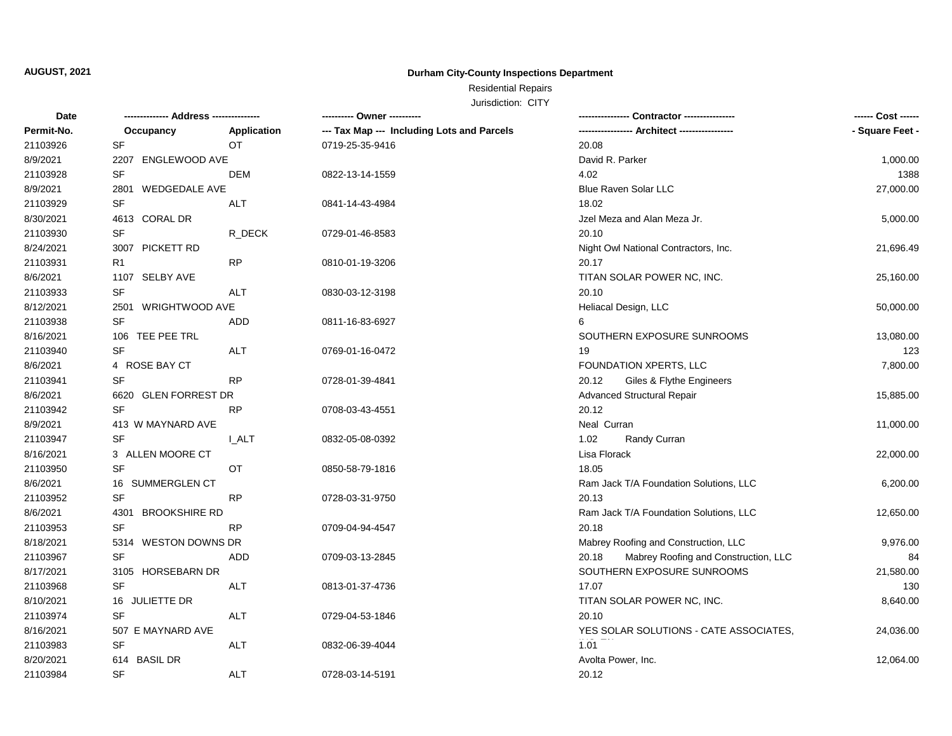## **Durham City-County Inspections Department**

# Residential Repairs

| Date       |                              |                    | ---------- Owner ----------                |                                               |                 |
|------------|------------------------------|--------------------|--------------------------------------------|-----------------------------------------------|-----------------|
| Permit-No. | Occupancy                    | <b>Application</b> | --- Tax Map --- Including Lots and Parcels |                                               | - Square Feet - |
| 21103926   | SF                           | <b>OT</b>          | 0719-25-35-9416                            | 20.08                                         |                 |
| 8/9/2021   | 2207 ENGLEWOOD AVE           |                    |                                            | David R. Parker                               | 1,000.00        |
| 21103928   | <b>SF</b>                    | DEM                | 0822-13-14-1559                            | 4.02                                          | 1388            |
| 8/9/2021   | <b>WEDGEDALE AVE</b><br>2801 |                    |                                            | <b>Blue Raven Solar LLC</b>                   | 27,000.00       |
| 21103929   | SF                           | <b>ALT</b>         | 0841-14-43-4984                            | 18.02                                         |                 |
| 8/30/2021  | 4613 CORAL DR                |                    |                                            | Jzel Meza and Alan Meza Jr.                   | 5,000.00        |
| 21103930   | SF                           | R_DECK             | 0729-01-46-8583                            | 20.10                                         |                 |
| 8/24/2021  | 3007 PICKETT RD              |                    |                                            | Night Owl National Contractors, Inc.          | 21,696.49       |
| 21103931   | R1                           | RP                 | 0810-01-19-3206                            | 20.17                                         |                 |
| 8/6/2021   | 1107 SELBY AVE               |                    |                                            | TITAN SOLAR POWER NC, INC.                    | 25,160.00       |
| 21103933   | <b>SF</b>                    | <b>ALT</b>         | 0830-03-12-3198                            | 20.10                                         |                 |
| 8/12/2021  | 2501<br>WRIGHTWOOD AVE       |                    |                                            | Heliacal Design, LLC                          | 50,000.00       |
| 21103938   | SF                           | ADD                | 0811-16-83-6927                            | 6                                             |                 |
| 8/16/2021  | 106 TEE PEE TRL              |                    |                                            | SOUTHERN EXPOSURE SUNROOMS                    | 13,080.00       |
| 21103940   | SF                           | ALT                | 0769-01-16-0472                            | 19                                            | 123             |
| 8/6/2021   | 4 ROSE BAY CT                |                    |                                            | FOUNDATION XPERTS, LLC                        | 7,800.00        |
| 21103941   | <b>SF</b>                    | <b>RP</b>          | 0728-01-39-4841                            | 20.12<br>Giles & Flythe Engineers             |                 |
| 8/6/2021   | 6620 GLEN FORREST DR         |                    |                                            | Advanced Structural Repair                    | 15,885.00       |
| 21103942   | SF                           | <b>RP</b>          | 0708-03-43-4551                            | 20.12                                         |                 |
| 8/9/2021   | 413 W MAYNARD AVE            |                    |                                            | Neal Curran                                   | 11,000.00       |
| 21103947   | SF                           | <b>L_ALT</b>       | 0832-05-08-0392                            | 1.02<br>Randy Curran                          |                 |
| 8/16/2021  | 3 ALLEN MOORE CT             |                    |                                            | Lisa Florack                                  | 22,000.00       |
| 21103950   | <b>SF</b>                    | ОT                 | 0850-58-79-1816                            | 18.05                                         |                 |
| 8/6/2021   | 16 SUMMERGLEN CT             |                    |                                            | Ram Jack T/A Foundation Solutions, LLC        | 6,200.00        |
| 21103952   | <b>SF</b>                    | <b>RP</b>          | 0728-03-31-9750                            | 20.13                                         |                 |
| 8/6/2021   | 4301<br><b>BROOKSHIRE RD</b> |                    |                                            | Ram Jack T/A Foundation Solutions, LLC        | 12,650.00       |
| 21103953   | SF                           | RP                 | 0709-04-94-4547                            | 20.18                                         |                 |
| 8/18/2021  | 5314 WESTON DOWNS DR         |                    |                                            | Mabrey Roofing and Construction, LLC          | 9,976.00        |
| 21103967   | SF                           | ADD                | 0709-03-13-2845                            | Mabrey Roofing and Construction, LLC<br>20.18 | 84              |
| 8/17/2021  | 3105 HORSEBARN DR            |                    |                                            | SOUTHERN EXPOSURE SUNROOMS                    | 21,580.00       |
| 21103968   | <b>SF</b>                    | <b>ALT</b>         | 0813-01-37-4736                            | 17.07                                         | 130             |
| 8/10/2021  | 16 JULIETTE DR               |                    |                                            | TITAN SOLAR POWER NC, INC.                    | 8,640.00        |
| 21103974   | SF                           | ALT                | 0729-04-53-1846                            | 20.10                                         |                 |
| 8/16/2021  | 507 E MAYNARD AVE            |                    |                                            | YES SOLAR SOLUTIONS - CATE ASSOCIATES,        | 24,036.00       |
| 21103983   | SF                           | ALT                | 0832-06-39-4044                            | 1.01                                          |                 |
| 8/20/2021  | 614 BASIL DR                 |                    |                                            | Avolta Power, Inc.                            | 12,064.00       |
| 21103984   | <b>SF</b>                    | <b>ALT</b>         | 0728-03-14-5191                            | 20.12                                         |                 |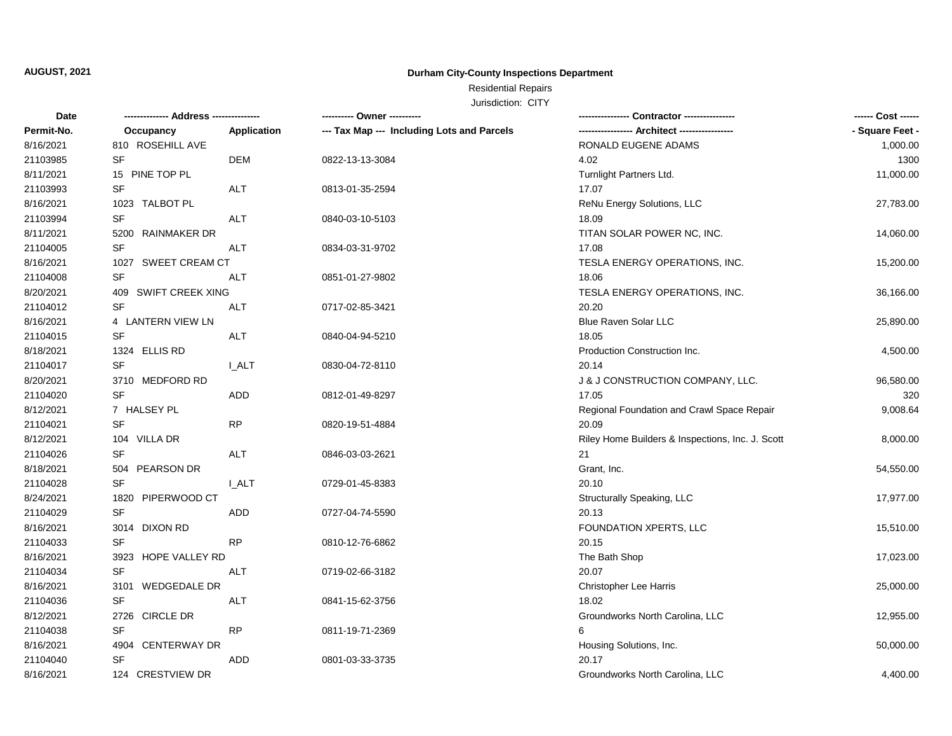## **Durham City-County Inspections Department**

# Residential Repairs

| Date       | -------------- Address ---  |              | ---------- Owner ----------                | - Contractor ----------------                    | ------ Cost ------ |
|------------|-----------------------------|--------------|--------------------------------------------|--------------------------------------------------|--------------------|
| Permit-No. | Occupancy                   | Application  | --- Tax Map --- Including Lots and Parcels |                                                  | - Square Feet -    |
| 8/16/2021  | 810 ROSEHILL AVE            |              |                                            | RONALD EUGENE ADAMS                              | 1,000.00           |
| 21103985   | <b>SF</b>                   | <b>DEM</b>   | 0822-13-13-3084                            | 4.02                                             | 1300               |
| 8/11/2021  | 15 PINE TOP PL              |              |                                            | Turnlight Partners Ltd.                          | 11,000.00          |
| 21103993   | SF                          | ALT          | 0813-01-35-2594                            | 17.07                                            |                    |
| 8/16/2021  | 1023 TALBOT PL              |              |                                            | ReNu Energy Solutions, LLC                       | 27,783.00          |
| 21103994   | <b>SF</b>                   | <b>ALT</b>   | 0840-03-10-5103                            | 18.09                                            |                    |
| 8/11/2021  | 5200 RAINMAKER DR           |              |                                            | TITAN SOLAR POWER NC, INC.                       | 14,060.00          |
| 21104005   | SF                          | <b>ALT</b>   | 0834-03-31-9702                            | 17.08                                            |                    |
| 8/16/2021  | 1027 SWEET CREAM CT         |              |                                            | TESLA ENERGY OPERATIONS, INC.                    | 15,200.00          |
| 21104008   | <b>SF</b>                   | ALT          | 0851-01-27-9802                            | 18.06                                            |                    |
| 8/20/2021  | 409 SWIFT CREEK XING        |              |                                            | TESLA ENERGY OPERATIONS, INC.                    | 36,166.00          |
| 21104012   | <b>SF</b>                   | <b>ALT</b>   | 0717-02-85-3421                            | 20.20                                            |                    |
| 8/16/2021  | 4 LANTERN VIEW LN           |              |                                            | Blue Raven Solar LLC                             | 25,890.00          |
| 21104015   | <b>SF</b>                   | <b>ALT</b>   | 0840-04-94-5210                            | 18.05                                            |                    |
| 8/18/2021  | 1324 ELLIS RD               |              |                                            | Production Construction Inc.                     | 4,500.00           |
| 21104017   | <b>SF</b>                   | <b>L_ALT</b> | 0830-04-72-8110                            | 20.14                                            |                    |
| 8/20/2021  | 3710 MEDFORD RD             |              |                                            | J & J CONSTRUCTION COMPANY, LLC.                 | 96,580.00          |
| 21104020   | <b>SF</b>                   | <b>ADD</b>   | 0812-01-49-8297                            | 17.05                                            | 320                |
| 8/12/2021  | 7 HALSEY PL                 |              |                                            | Regional Foundation and Crawl Space Repair       | 9,008.64           |
| 21104021   | <b>SF</b>                   | <b>RP</b>    | 0820-19-51-4884                            | 20.09                                            |                    |
| 8/12/2021  | 104 VILLA DR                |              |                                            | Riley Home Builders & Inspections, Inc. J. Scott | 8,000.00           |
| 21104026   | <b>SF</b>                   | <b>ALT</b>   | 0846-03-03-2621                            | 21                                               |                    |
| 8/18/2021  | 504 PEARSON DR              |              |                                            | Grant, Inc.                                      | 54,550.00          |
| 21104028   | SF                          | <b>I_ALT</b> | 0729-01-45-8383                            | 20.10                                            |                    |
| 8/24/2021  | 1820 PIPERWOOD CT           |              |                                            | Structurally Speaking, LLC                       | 17,977.00          |
| 21104029   | SF                          | ADD          | 0727-04-74-5590                            | 20.13                                            |                    |
| 8/16/2021  | 3014 DIXON RD               |              |                                            | FOUNDATION XPERTS, LLC                           | 15,510.00          |
| 21104033   | <b>SF</b>                   | <b>RP</b>    | 0810-12-76-6862                            | 20.15                                            |                    |
| 8/16/2021  | 3923 HOPE VALLEY RD         |              |                                            | The Bath Shop                                    | 17,023.00          |
| 21104034   | <b>SF</b>                   | <b>ALT</b>   | 0719-02-66-3182                            | 20.07                                            |                    |
| 8/16/2021  | <b>WEDGEDALE DR</b><br>3101 |              |                                            | Christopher Lee Harris                           | 25,000.00          |
| 21104036   | SF                          | <b>ALT</b>   | 0841-15-62-3756                            | 18.02                                            |                    |
| 8/12/2021  | 2726 CIRCLE DR              |              |                                            | Groundworks North Carolina, LLC                  | 12,955.00          |
| 21104038   | <b>SF</b>                   | <b>RP</b>    | 0811-19-71-2369                            | 6                                                |                    |
| 8/16/2021  | 4904 CENTERWAY DR           |              |                                            | Housing Solutions, Inc.                          | 50,000.00          |
| 21104040   | <b>SF</b>                   | ADD          | 0801-03-33-3735                            | 20.17                                            |                    |
| 8/16/2021  | 124 CRESTVIEW DR            |              |                                            | Groundworks North Carolina, LLC                  | 4,400.00           |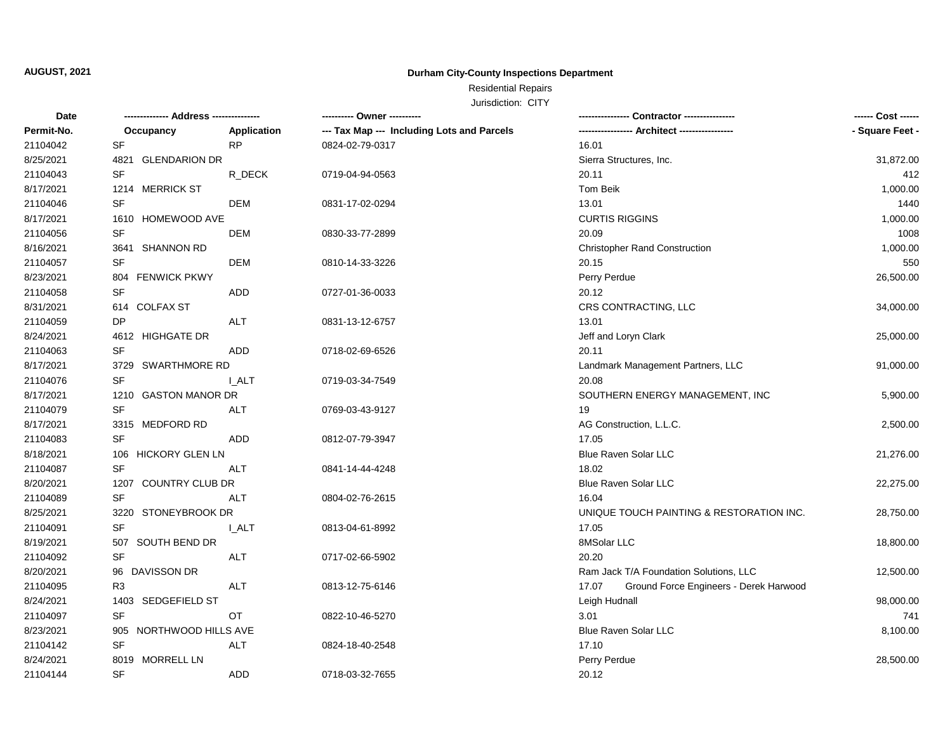## **Durham City-County Inspections Department**

# Residential Repairs

| <b>Date</b> |                         |             | ---------- Owner ----------                |                                                 | ------ Cost ------ |
|-------------|-------------------------|-------------|--------------------------------------------|-------------------------------------------------|--------------------|
| Permit-No.  | Occupancy               | Application | --- Tax Map --- Including Lots and Parcels |                                                 | - Square Feet -    |
| 21104042    | SF                      | <b>RP</b>   | 0824-02-79-0317                            | 16.01                                           |                    |
| 8/25/2021   | 4821 GLENDARION DR      |             |                                            | Sierra Structures, Inc.                         | 31,872.00          |
| 21104043    | SF                      | R_DECK      | 0719-04-94-0563                            | 20.11                                           | 412                |
| 8/17/2021   | 1214 MERRICK ST         |             |                                            | Tom Beik                                        | 1,000.00           |
| 21104046    | SF                      | <b>DEM</b>  | 0831-17-02-0294                            | 13.01                                           | 1440               |
| 8/17/2021   | 1610 HOMEWOOD AVE       |             |                                            | <b>CURTIS RIGGINS</b>                           | 1,000.00           |
| 21104056    | SF                      | <b>DEM</b>  | 0830-33-77-2899                            | 20.09                                           | 1008               |
| 8/16/2021   | 3641 SHANNON RD         |             |                                            | <b>Christopher Rand Construction</b>            | 1,000.00           |
| 21104057    | SF                      | <b>DEM</b>  | 0810-14-33-3226                            | 20.15                                           | 550                |
| 8/23/2021   | 804 FENWICK PKWY        |             |                                            | Perry Perdue                                    | 26,500.00          |
| 21104058    | <b>SF</b>               | ADD         | 0727-01-36-0033                            | 20.12                                           |                    |
| 8/31/2021   | 614 COLFAX ST           |             |                                            | CRS CONTRACTING, LLC                            | 34,000.00          |
| 21104059    | DP                      | <b>ALT</b>  | 0831-13-12-6757                            | 13.01                                           |                    |
| 8/24/2021   | 4612 HIGHGATE DR        |             |                                            | Jeff and Loryn Clark                            | 25,000.00          |
| 21104063    | SF                      | ADD         | 0718-02-69-6526                            | 20.11                                           |                    |
| 8/17/2021   | 3729 SWARTHMORE RD      |             |                                            | Landmark Management Partners, LLC               | 91,000.00          |
| 21104076    | <b>SF</b>               | I ALT       | 0719-03-34-7549                            | 20.08                                           |                    |
| 8/17/2021   | 1210 GASTON MANOR DR    |             |                                            | SOUTHERN ENERGY MANAGEMENT, INC                 | 5,900.00           |
| 21104079    | SF                      | ALT         | 0769-03-43-9127                            | 19                                              |                    |
| 8/17/2021   | 3315 MEDFORD RD         |             |                                            | AG Construction, L.L.C.                         | 2,500.00           |
| 21104083    | <b>SF</b>               | ADD         | 0812-07-79-3947                            | 17.05                                           |                    |
| 8/18/2021   | 106 HICKORY GLEN LN     |             |                                            | <b>Blue Raven Solar LLC</b>                     | 21,276.00          |
| 21104087    | <b>SF</b>               | <b>ALT</b>  | 0841-14-44-4248                            | 18.02                                           |                    |
| 8/20/2021   | 1207 COUNTRY CLUB DR    |             |                                            | <b>Blue Raven Solar LLC</b>                     | 22,275.00          |
| 21104089    | SF                      | ALT         | 0804-02-76-2615                            | 16.04                                           |                    |
| 8/25/2021   | 3220 STONEYBROOK DR     |             |                                            | UNIQUE TOUCH PAINTING & RESTORATION INC.        | 28,750.00          |
| 21104091    | SF                      | <b>LALT</b> | 0813-04-61-8992                            | 17.05                                           |                    |
| 8/19/2021   | SOUTH BEND DR<br>507    |             |                                            | 8MSolar LLC                                     | 18,800.00          |
| 21104092    | <b>SF</b>               | <b>ALT</b>  | 0717-02-66-5902                            | 20.20                                           |                    |
| 8/20/2021   | 96 DAVISSON DR          |             |                                            | Ram Jack T/A Foundation Solutions, LLC          | 12,500.00          |
| 21104095    | R <sub>3</sub>          | <b>ALT</b>  | 0813-12-75-6146                            | 17.07<br>Ground Force Engineers - Derek Harwood |                    |
| 8/24/2021   | 1403 SEDGEFIELD ST      |             |                                            | Leigh Hudnall                                   | 98,000.00          |
| 21104097    | SF                      | OT          | 0822-10-46-5270                            | 3.01                                            | 741                |
| 8/23/2021   | 905 NORTHWOOD HILLS AVE |             |                                            | Blue Raven Solar LLC                            | 8,100.00           |
| 21104142    | SF                      | ALT         | 0824-18-40-2548                            | 17.10                                           |                    |
| 8/24/2021   | 8019 MORRELL LN         |             |                                            | Perry Perdue                                    | 28,500.00          |
| 21104144    | <b>SF</b>               | <b>ADD</b>  | 0718-03-32-7655                            | 20.12                                           |                    |
|             |                         |             |                                            |                                                 |                    |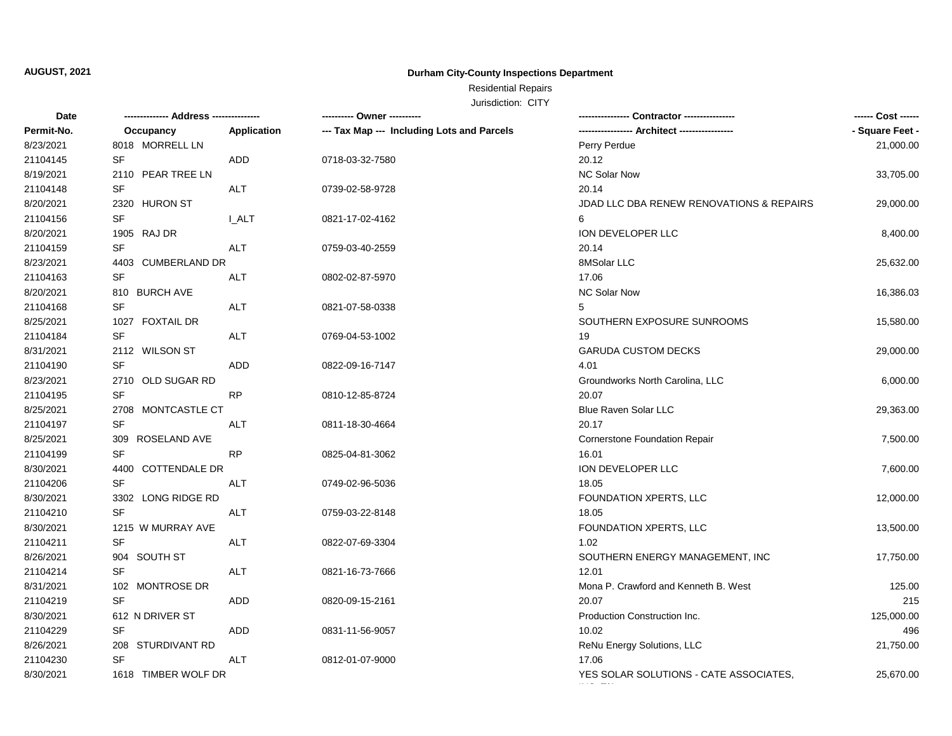## **Durham City-County Inspections Department**

# Residential Repairs

| Date       | -------------- Address -- |             | ---------- Owner ----------                | -- Contractor ---------------                 | ------ Cost ------ |
|------------|---------------------------|-------------|--------------------------------------------|-----------------------------------------------|--------------------|
| Permit-No. | Occupancy                 | Application | --- Tax Map --- Including Lots and Parcels | ----------------- Architect ----------------- | - Square Feet -    |
| 8/23/2021  | 8018 MORRELL LN           |             |                                            | Perry Perdue                                  | 21,000.00          |
| 21104145   | <b>SF</b>                 | <b>ADD</b>  | 0718-03-32-7580                            | 20.12                                         |                    |
| 8/19/2021  | 2110 PEAR TREE LN         |             |                                            | <b>NC Solar Now</b>                           | 33,705.00          |
| 21104148   | <b>SF</b>                 | <b>ALT</b>  | 0739-02-58-9728                            | 20.14                                         |                    |
| 8/20/2021  | 2320 HURON ST             |             |                                            | JDAD LLC DBA RENEW RENOVATIONS & REPAIRS      | 29,000.00          |
| 21104156   | <b>SF</b>                 | I ALT       | 0821-17-02-4162                            | 6                                             |                    |
| 8/20/2021  | 1905 RAJ DR               |             |                                            | ION DEVELOPER LLC                             | 8,400.00           |
| 21104159   | SF                        | <b>ALT</b>  | 0759-03-40-2559                            | 20.14                                         |                    |
| 8/23/2021  | 4403 CUMBERLAND DR        |             |                                            | 8MSolar LLC                                   | 25,632.00          |
| 21104163   | <b>SF</b>                 | <b>ALT</b>  | 0802-02-87-5970                            | 17.06                                         |                    |
| 8/20/2021  | 810 BURCH AVE             |             |                                            | <b>NC Solar Now</b>                           | 16,386.03          |
| 21104168   | <b>SF</b>                 | <b>ALT</b>  | 0821-07-58-0338                            | 5                                             |                    |
| 8/25/2021  | 1027 FOXTAIL DR           |             |                                            | SOUTHERN EXPOSURE SUNROOMS                    | 15,580.00          |
| 21104184   | <b>SF</b>                 | ALT         | 0769-04-53-1002                            | 19                                            |                    |
| 8/31/2021  | 2112 WILSON ST            |             |                                            | <b>GARUDA CUSTOM DECKS</b>                    | 29,000.00          |
| 21104190   | <b>SF</b>                 | <b>ADD</b>  | 0822-09-16-7147                            | 4.01                                          |                    |
| 8/23/2021  | 2710 OLD SUGAR RD         |             |                                            | Groundworks North Carolina, LLC               | 6,000.00           |
| 21104195   | <b>SF</b>                 | <b>RP</b>   | 0810-12-85-8724                            | 20.07                                         |                    |
| 8/25/2021  | 2708 MONTCASTLE CT        |             |                                            | Blue Raven Solar LLC                          | 29,363.00          |
| 21104197   | SF                        | ALT         | 0811-18-30-4664                            | 20.17                                         |                    |
| 8/25/2021  | ROSELAND AVE<br>309       |             |                                            | <b>Cornerstone Foundation Repair</b>          | 7,500.00           |
| 21104199   | <b>SF</b>                 | RP          | 0825-04-81-3062                            | 16.01                                         |                    |
| 8/30/2021  | 4400<br>COTTENDALE DR     |             |                                            | ION DEVELOPER LLC                             | 7,600.00           |
| 21104206   | SF                        | ALT         | 0749-02-96-5036                            | 18.05                                         |                    |
| 8/30/2021  | 3302 LONG RIDGE RD        |             |                                            | FOUNDATION XPERTS, LLC                        | 12,000.00          |
| 21104210   | SF                        | ALT         | 0759-03-22-8148                            | 18.05                                         |                    |
| 8/30/2021  | 1215 W MURRAY AVE         |             |                                            | FOUNDATION XPERTS, LLC                        | 13,500.00          |
| 21104211   | SF                        | ALT         | 0822-07-69-3304                            | 1.02                                          |                    |
| 8/26/2021  | 904 SOUTH ST              |             |                                            | SOUTHERN ENERGY MANAGEMENT, INC               | 17,750.00          |
| 21104214   | SF                        | <b>ALT</b>  | 0821-16-73-7666                            | 12.01                                         |                    |
| 8/31/2021  | 102 MONTROSE DR           |             |                                            | Mona P. Crawford and Kenneth B. West          | 125.00             |
| 21104219   | SF                        | ADD         | 0820-09-15-2161                            | 20.07                                         | 215                |
| 8/30/2021  | 612 N DRIVER ST           |             |                                            | Production Construction Inc.                  | 125,000.00         |
| 21104229   | <b>SF</b>                 | ADD         | 0831-11-56-9057                            | 10.02                                         | 496                |
| 8/26/2021  | 208 STURDIVANT RD         |             |                                            | ReNu Energy Solutions, LLC                    | 21,750.00          |
| 21104230   | <b>SF</b>                 | <b>ALT</b>  | 0812-01-07-9000                            | 17.06                                         |                    |
| 8/30/2021  | 1618 TIMBER WOLF DR       |             |                                            | YES SOLAR SOLUTIONS - CATE ASSOCIATES,        | 25,670.00          |
|            |                           |             |                                            |                                               |                    |